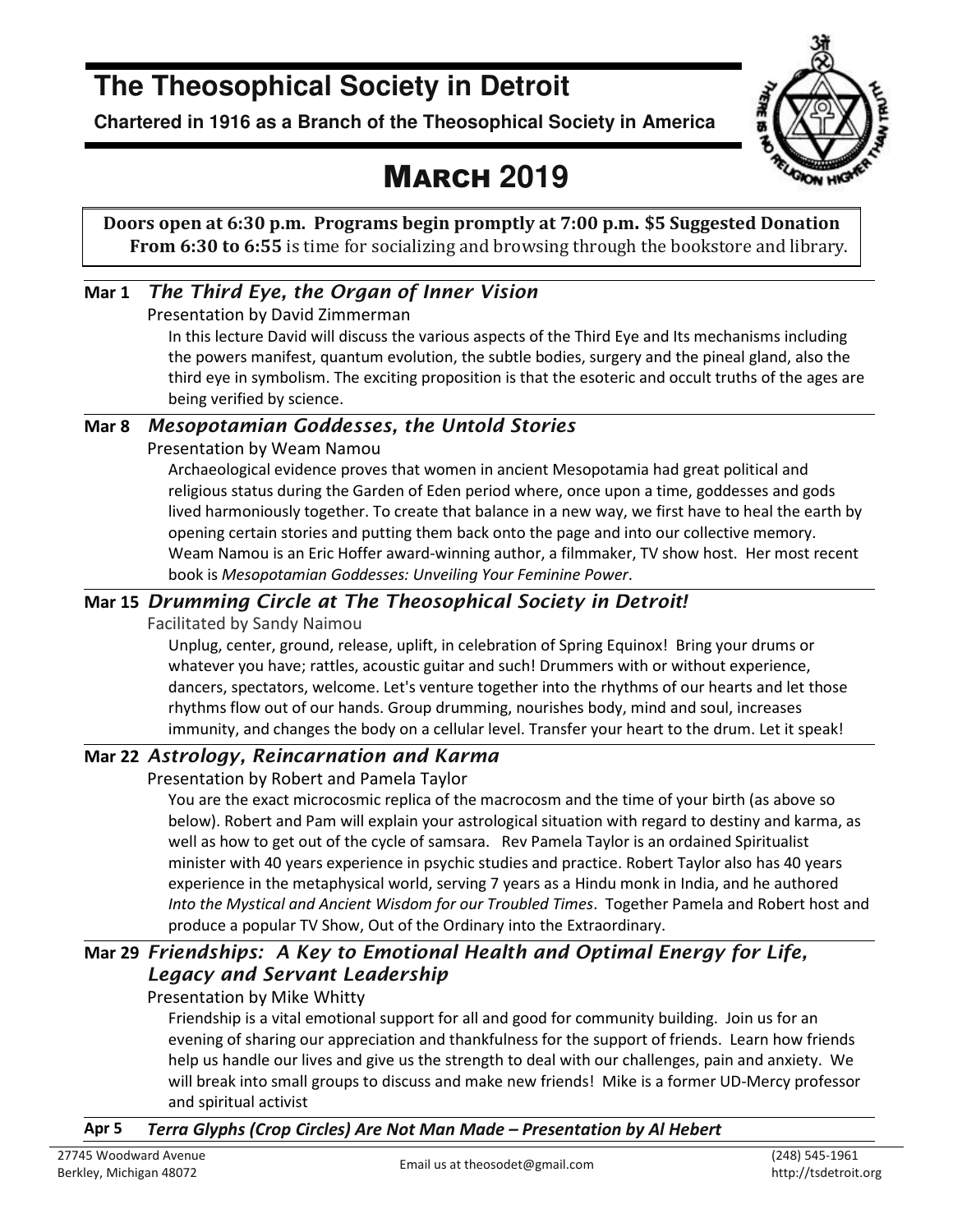### **The Theosophical Society in Detroit**

**Chartered in 1916 as a Branch of the Theosophical Society in America** 



## MARCH **2019**

**Doors open at 6:30 p.m. Programs begin promptly at 7:00 p.m. \$5 Suggested Donation From 6:30 to 6:55** is time for socializing and browsing through the bookstore and library.

### **Mar 1** *The Third Eye, the Organ of Inner Vision*

Presentation by David Zimmerman

In this lecture David will discuss the various aspects of the Third Eye and Its mechanisms including the powers manifest, quantum evolution, the subtle bodies, surgery and the pineal gland, also the third eye in symbolism. The exciting proposition is that the esoteric and occult truths of the ages are being verified by science.

### **Mar 8** *Mesopotamian Goddesses, the Untold Stories*

Presentation by Weam Namou

Archaeological evidence proves that women in ancient Mesopotamia had great political and religious status during the Garden of Eden period where, once upon a time, goddesses and gods lived harmoniously together. To create that balance in a new way, we first have to heal the earth by opening certain stories and putting them back onto the page and into our collective memory. Weam Namou is an Eric Hoffer award-winning author, a filmmaker, TV show host. Her most recent book is *Mesopotamian Goddesses: Unveiling Your Feminine Power*.

### **Mar 15** *Drumming Circle at The Theosophical Society in Detroit!*

Facilitated by Sandy Naimou

Unplug, center, ground, release, uplift, in celebration of Spring Equinox! Bring your drums or whatever you have; rattles, acoustic guitar and such! Drummers with or without experience, dancers, spectators, welcome. Let's venture together into the rhythms of our hearts and let those rhythms flow out of our hands. Group drumming, nourishes body, mind and soul, increases immunity, and changes the body on a cellular level. Transfer your heart to the drum. Let it speak!

### **Mar 22** *Astrology, Reincarnation and Karma*

Presentation by Robert and Pamela Taylor

You are the exact microcosmic replica of the macrocosm and the time of your birth (as above so below). Robert and Pam will explain your astrological situation with regard to destiny and karma, as well as how to get out of the cycle of samsara. Rev Pamela Taylor is an ordained Spiritualist minister with 40 years experience in psychic studies and practice. Robert Taylor also has 40 years experience in the metaphysical world, serving 7 years as a Hindu monk in India, and he authored *Into the Mystical and Ancient Wisdom for our Troubled Times*. Together Pamela and Robert host and produce a popular TV Show, Out of the Ordinary into the Extraordinary.

### **Mar 29** *Friendships: A Key to Emotional Health and Optimal Energy for Life, Legacy and Servant Leadership*

Presentation by Mike Whitty

Friendship is a vital emotional support for all and good for community building. Join us for an evening of sharing our appreciation and thankfulness for the support of friends. Learn how friends help us handle our lives and give us the strength to deal with our challenges, pain and anxiety. We will break into small groups to discuss and make new friends! Mike is a former UD-Mercy professor and spiritual activist

### **Apr 5** *Terra Glyphs (Crop Circles) Are Not Man Made – Presentation by Al Hebert*